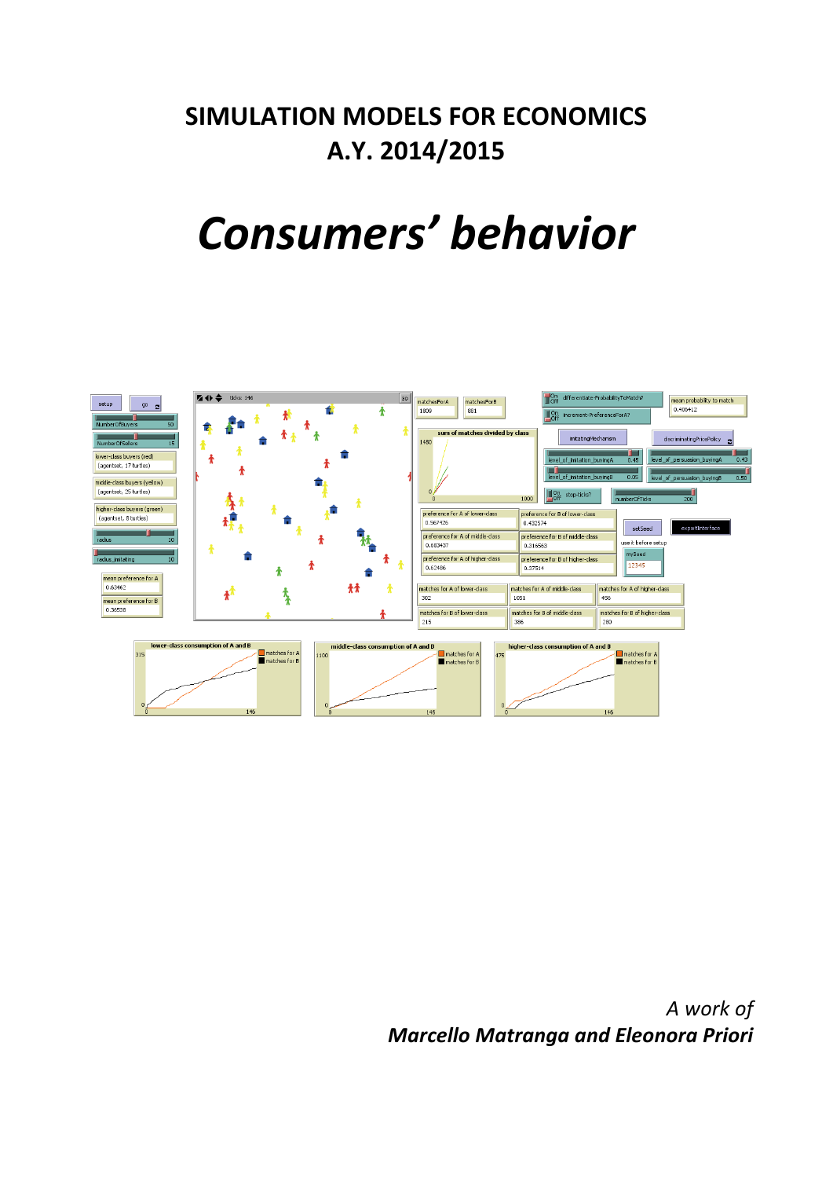## **SIMULATION MODELS FOR ECONOMICS A.Y. 2014/2015**

# *Consumers' behavior*



*A work of Marcello Matranga and Eleonora Priori*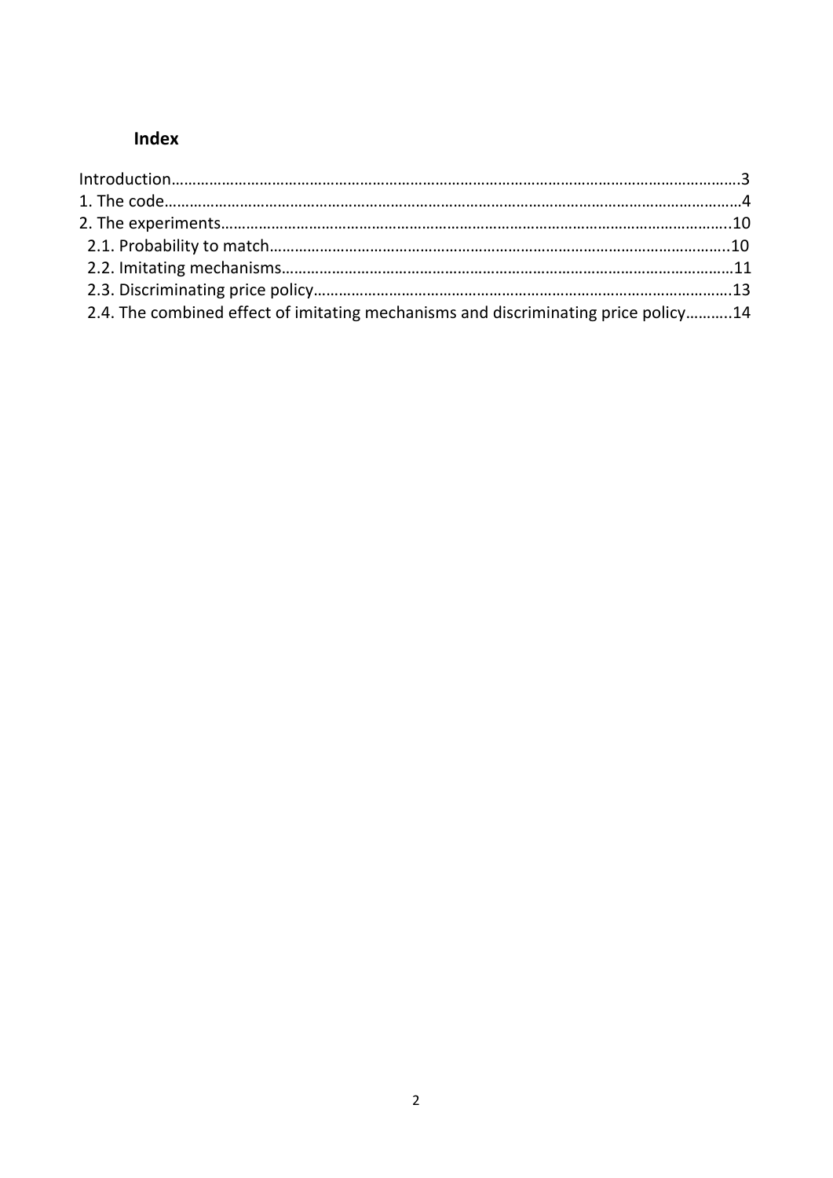### **Index**

| 2.4. The combined effect of imitating mechanisms and discriminating price policy14 |  |
|------------------------------------------------------------------------------------|--|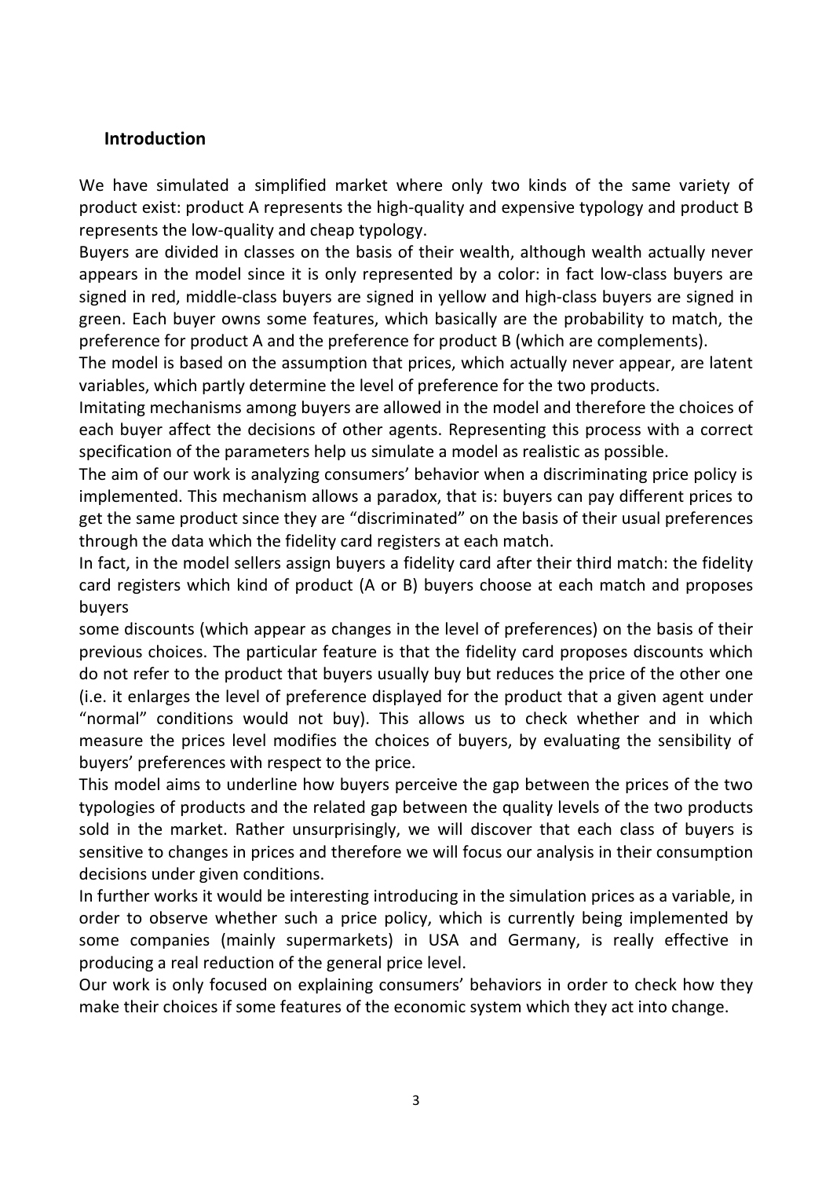#### **Introduction**

We have simulated a simplified market where only two kinds of the same variety of product exist: product A represents the high-quality and expensive typology and product B represents the low-quality and cheap typology.

Buyers are divided in classes on the basis of their wealth, although wealth actually never appears in the model since it is only represented by a color: in fact low-class buyers are signed in red, middle-class buyers are signed in yellow and high-class buyers are signed in green. Each buyer owns some features, which basically are the probability to match, the preference for product A and the preference for product B (which are complements).

The model is based on the assumption that prices, which actually never appear, are latent variables, which partly determine the level of preference for the two products.

Imitating mechanisms among buyers are allowed in the model and therefore the choices of each buyer affect the decisions of other agents. Representing this process with a correct specification of the parameters help us simulate a model as realistic as possible.

The aim of our work is analyzing consumers' behavior when a discriminating price policy is implemented. This mechanism allows a paradox, that is: buyers can pay different prices to get the same product since they are "discriminated" on the basis of their usual preferences through the data which the fidelity card registers at each match.

In fact, in the model sellers assign buyers a fidelity card after their third match: the fidelity card registers which kind of product (A or B) buyers choose at each match and proposes buyers 

some discounts (which appear as changes in the level of preferences) on the basis of their previous choices. The particular feature is that the fidelity card proposes discounts which do not refer to the product that buyers usually buy but reduces the price of the other one (i.e. it enlarges the level of preference displayed for the product that a given agent under "normal" conditions would not buy). This allows us to check whether and in which measure the prices level modifies the choices of buyers, by evaluating the sensibility of buyers' preferences with respect to the price.

This model aims to underline how buyers perceive the gap between the prices of the two typologies of products and the related gap between the quality levels of the two products sold in the market. Rather unsurprisingly, we will discover that each class of buyers is sensitive to changes in prices and therefore we will focus our analysis in their consumption decisions under given conditions.

In further works it would be interesting introducing in the simulation prices as a variable, in order to observe whether such a price policy, which is currently being implemented by some companies (mainly supermarkets) in USA and Germany, is really effective in producing a real reduction of the general price level.

Our work is only focused on explaining consumers' behaviors in order to check how they make their choices if some features of the economic system which they act into change.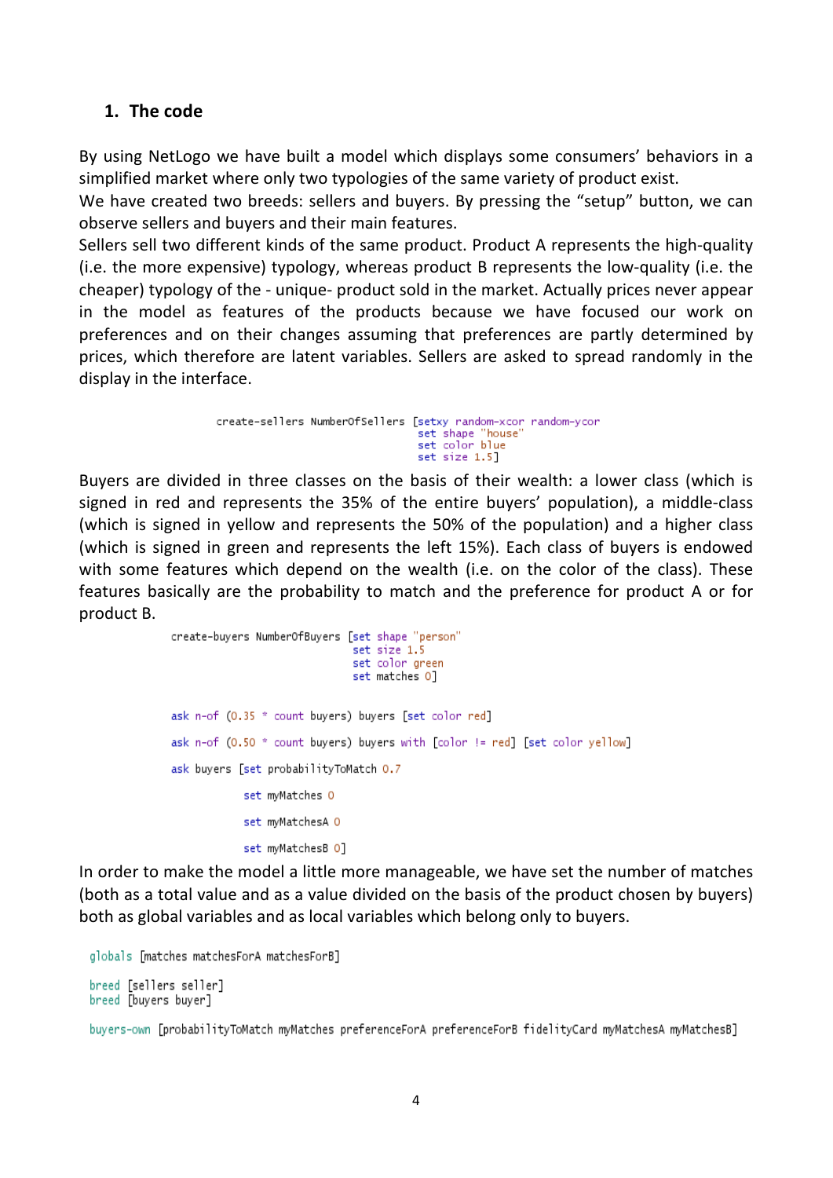#### 1. The code

By using NetLogo we have built a model which displays some consumers' behaviors in a simplified market where only two typologies of the same variety of product exist.

We have created two breeds: sellers and buyers. By pressing the "setup" button, we can observe sellers and buyers and their main features.

Sellers sell two different kinds of the same product. Product A represents the high-quality (i.e. the more expensive) typology, whereas product B represents the low-quality (i.e. the cheaper) typology of the - unique- product sold in the market. Actually prices never appear in the model as features of the products because we have focused our work on preferences and on their changes assuming that preferences are partly determined by prices, which therefore are latent variables. Sellers are asked to spread randomly in the display in the interface.

```
create-sellers NumberOfSellers [setxy random-xcor random-ycor
                                      set shape "house"<br>set color blue
                                       set size 1.5]
```
Buyers are divided in three classes on the basis of their wealth: a lower class (which is signed in red and represents the 35% of the entire buyers' population), a middle-class (which is signed in yellow and represents the 50% of the population) and a higher class (which is signed in green and represents the left 15%). Each class of buyers is endowed with some features which depend on the wealth (i.e. on the color of the class). These features basically are the probability to match and the preference for product A or for product B. 

```
create-buyers NumberOfBuyers [set shape "person"
                              set size 1.5
                              set color green
                              set matches 01
ask n-of (0.35 * count buyers) buyers [set color red]
ask n-of (0.50 * count buyers) buyers with [color != red] [set color yellow]
ask buyers [set probabilityToMatch 0.7
            set myMatches 0
            set mvMatchesA 0
            set myMatchesB 0]
```
In order to make the model a little more manageable, we have set the number of matches (both as a total value and as a value divided on the basis of the product chosen by buyers) both as global variables and as local variables which belong only to buyers.

```
globals [matches matchesForA matchesForB]
breed [sellers seller]
breed [buyers buyer]
```
buyers-own [probabilityToMatch myMatches preferenceForA preferenceForB fidelityCard myMatchesA myMatchesB]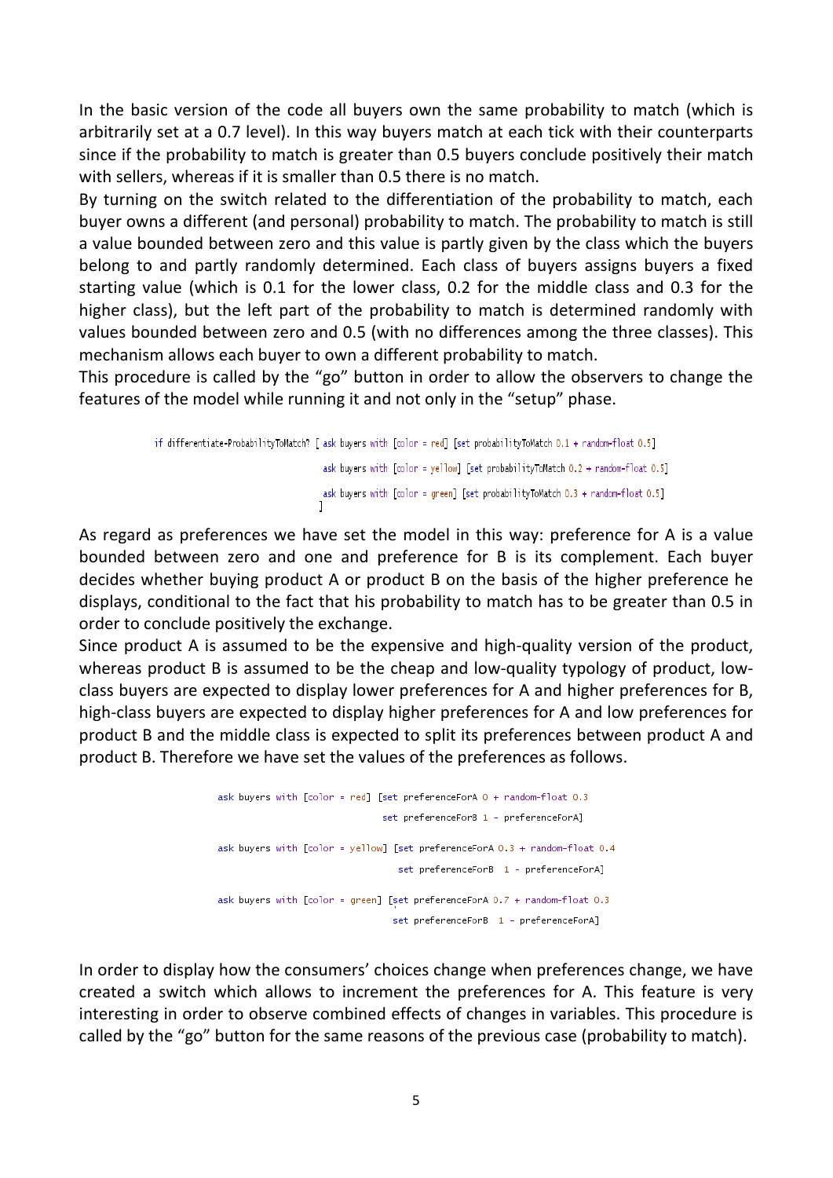In the basic version of the code all buyers own the same probability to match (which is arbitrarily set at a 0.7 level). In this way buyers match at each tick with their counterparts since if the probability to match is greater than 0.5 buyers conclude positively their match with sellers, whereas if it is smaller than 0.5 there is no match.

By turning on the switch related to the differentiation of the probability to match, each buyer owns a different (and personal) probability to match. The probability to match is still a value bounded between zero and this value is partly given by the class which the buyers belong to and partly randomly determined. Each class of buyers assigns buyers a fixed starting value (which is 0.1 for the lower class, 0.2 for the middle class and 0.3 for the higher class), but the left part of the probability to match is determined randomly with values bounded between zero and 0.5 (with no differences among the three classes). This mechanism allows each buyer to own a different probability to match.

This procedure is called by the "go" button in order to allow the observers to change the features of the model while running it and not only in the "setup" phase.

> if differentiate-ProbabilityToMatch? [ask buyers with [color = red] [set probabilityToMatch 0.1 + random-float 0.5] ask buyers with [color = yellow] [set probabilityToMatch 0.2 + random-float 0.5] ask buyers with [color = green] [set probabilityToMatch 0.3 + random-float 0.5]

As regard as preferences we have set the model in this way: preference for A is a value bounded between zero and one and preference for B is its complement. Each buyer decides whether buying product A or product B on the basis of the higher preference he displays, conditional to the fact that his probability to match has to be greater than 0.5 in order to conclude positively the exchange.

Since product A is assumed to be the expensive and high-quality version of the product, whereas product B is assumed to be the cheap and low-quality typology of product, lowclass buyers are expected to display lower preferences for A and higher preferences for B, high-class buyers are expected to display higher preferences for A and low preferences for product B and the middle class is expected to split its preferences between product A and product B. Therefore we have set the values of the preferences as follows.



In order to display how the consumers' choices change when preferences change, we have created a switch which allows to increment the preferences for A. This feature is very interesting in order to observe combined effects of changes in variables. This procedure is called by the "go" button for the same reasons of the previous case (probability to match).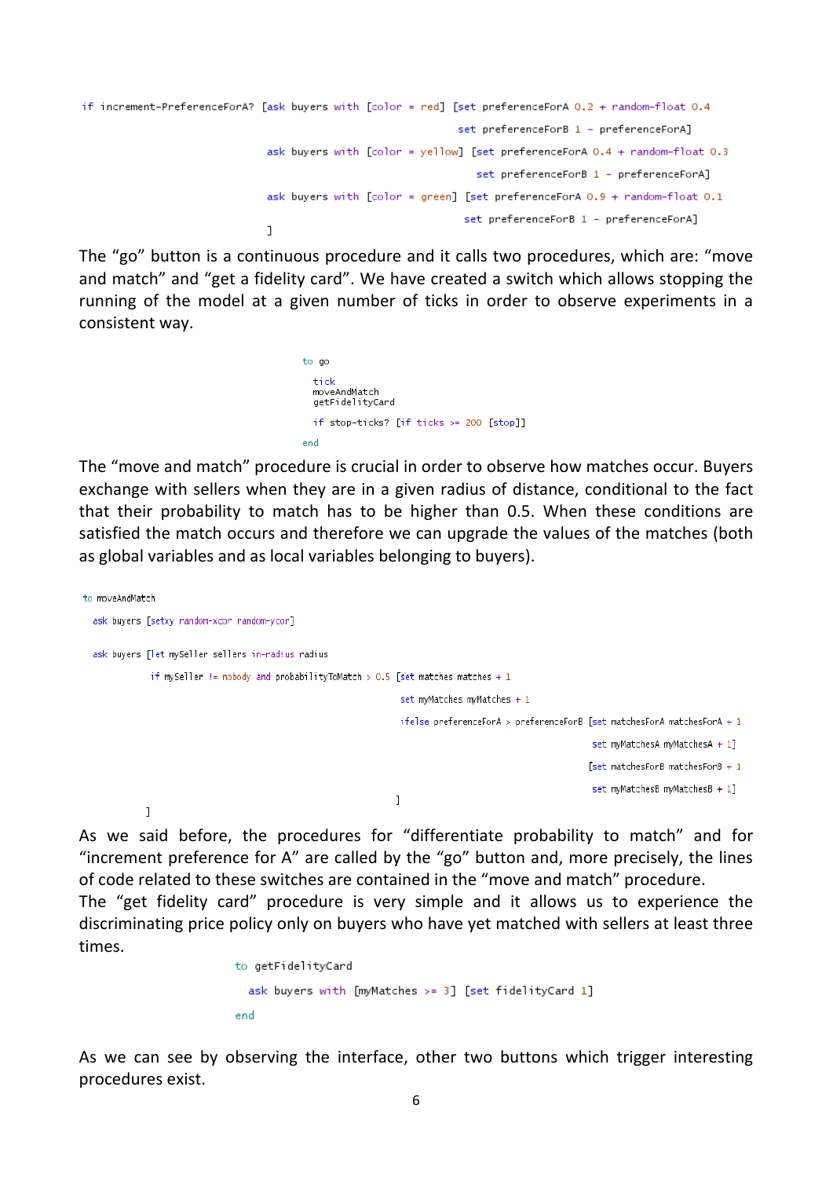```
if increment-PreferenceForA? [ask buyers with [color = red] [set preferenceForA 0.2 + random-float 0.4
                                                             set preferenceForB 1 - preferenceForA]
                              ask buyers with [color = yellow] [set preferenceForA 0.4 + random-float 0.3
                                                                set preferenceForB 1 - preferenceForA]
                              ask buyers with [color = green] [set preferenceForA 0.9 + random-float 0.1
                                                              set preferenceForB 1 - preferenceForA]
                              J
```
The "go" button is a continuous procedure and it calls two procedures, which are: "move and match" and "get a fidelity card". We have created a switch which allows stopping the running of the model at a given number of ticks in order to observe experiments in a consistent way.

> to go tick moveAndMatch detFidelitvCard if stop-ticks? [if ticks >= 200 [stop]] end

The "move and match" procedure is crucial in order to observe how matches occur. Buyers exchange with sellers when they are in a given radius of distance, conditional to the fact that their probability to match has to be higher than 0.5. When these conditions are satisfied the match occurs and therefore we can upgrade the values of the matches (both as global variables and as local variables belonging to buyers).

```
to moveAndMatch
  ask buyers [setxy random-xcor random-ycor]
  ask buyers [let mySeller sellers in-radius radius
              if mySeller != nobody and probabilityToMatch > 0.5 [set matches matches + 1
                                                                     set myMatches myMatches + 1ifelse preferenceForA > preferenceForB [set matchesForA matchesForA + 1
                                                                                                               set myMatchesA myMatchesA + 1]
                                                                                                              [set matchesForB matchesForB + 1set myMatchesB myMatchesB + 1]
                                                                    \mathbf{I}\overline{1}
```
As we said before, the procedures for "differentiate probability to match" and for "increment preference for A" are called by the "go" button and, more precisely, the lines of code related to these switches are contained in the "move and match" procedure.

The "get fidelity card" procedure is very simple and it allows us to experience the discriminating price policy only on buyers who have yet matched with sellers at least three times.

```
to getFidelityCard
  ask buyers with [myMatches >= 3] [set fidelityCard 1]
end
```
As we can see by observing the interface, other two buttons which trigger interesting procedures exist.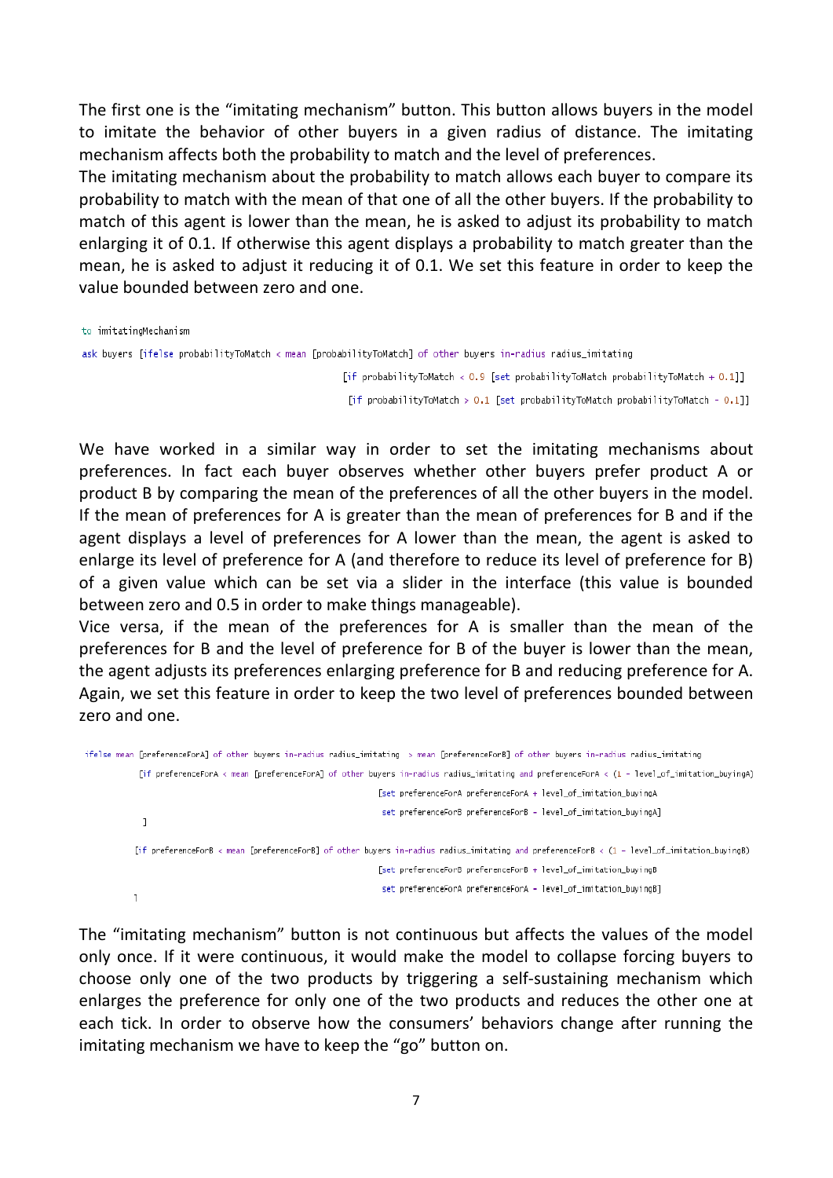The first one is the "imitating mechanism" button. This button allows buyers in the model to imitate the behavior of other buyers in a given radius of distance. The imitating mechanism affects both the probability to match and the level of preferences.

The imitating mechanism about the probability to match allows each buyer to compare its probability to match with the mean of that one of all the other buyers. If the probability to match of this agent is lower than the mean, he is asked to adjust its probability to match enlarging it of 0.1. If otherwise this agent displays a probability to match greater than the mean, he is asked to adjust it reducing it of 0.1. We set this feature in order to keep the value bounded between zero and one.

```
to imitatingMechanism
```

```
ask buyers [ifelse probabilityToMatch < mean [probabilityToMatch] of other buyers in-radius radius_imitating
```
[if probabilityToMatch < 0.9 [set probabilityToMatch probabilityToMatch + 0.1]] [if probabilityToMatch > 0.1 [set probabilityToMatch probabilityToMatch - 0.1]]

We have worked in a similar way in order to set the imitating mechanisms about preferences. In fact each buyer observes whether other buyers prefer product A or product B by comparing the mean of the preferences of all the other buyers in the model. If the mean of preferences for A is greater than the mean of preferences for B and if the agent displays a level of preferences for A lower than the mean, the agent is asked to enlarge its level of preference for A (and therefore to reduce its level of preference for B) of a given value which can be set via a slider in the interface (this value is bounded between zero and 0.5 in order to make things manageable).

Vice versa, if the mean of the preferences for A is smaller than the mean of the preferences for B and the level of preference for B of the buyer is lower than the mean, the agent adjusts its preferences enlarging preference for B and reducing preference for A. Again, we set this feature in order to keep the two level of preferences bounded between zero and one.

```
ifelse mean [preferenceForA] of other buyers in-radius radius_imitating > mean [preferenceForB] of other buyers in-radius radius_imitating
            [if preferenceForA < mean [preferenceForA] of other buyers in-radius radius_imitating and preferenceForA < (1 - level_of_imitation_buyingA)
                                                                    [set preferenceForA preferenceForA + level_of_imitation_buyingA
                                                                    set preferenceForB preferenceForB - level_of_imitation_buyingA]
             \mathbf{I}[if preferenceForB < mean [preferenceForB] of other buyers in-radius radius_imitating and preferenceForB < (1 - level_of_imitation_buyingB)
                                                                    [set preferenceForB preferenceForB + level of imitation buvingB
                                                                    set preferenceForA preferenceForA - level_of_imitation_buyingB]
           \overline{1}
```
The "imitating mechanism" button is not continuous but affects the values of the model only once. If it were continuous, it would make the model to collapse forcing buyers to choose only one of the two products by triggering a self-sustaining mechanism which enlarges the preference for only one of the two products and reduces the other one at each tick. In order to observe how the consumers' behaviors change after running the imitating mechanism we have to keep the "go" button on.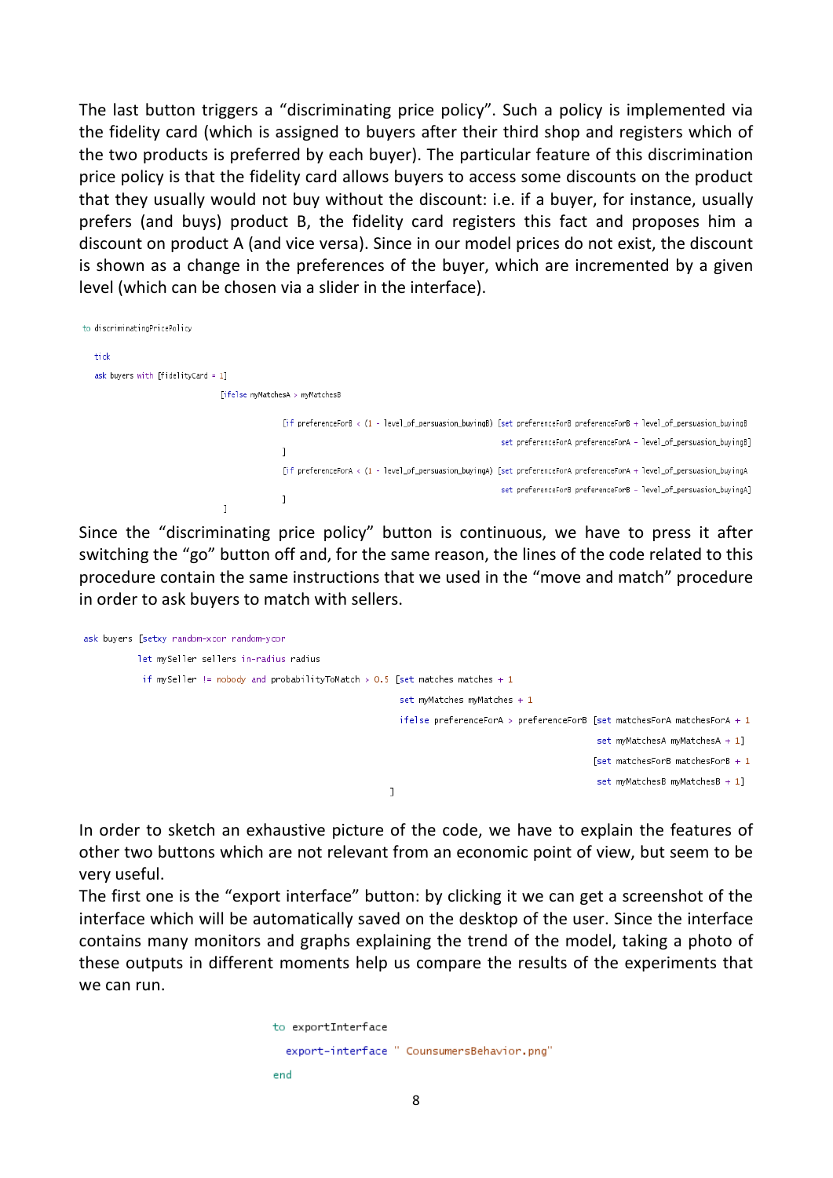The last button triggers a "discriminating price policy". Such a policy is implemented via the fidelity card (which is assigned to buyers after their third shop and registers which of the two products is preferred by each buyer). The particular feature of this discrimination price policy is that the fidelity card allows buyers to access some discounts on the product that they usually would not buy without the discount: i.e. if a buyer, for instance, usually prefers (and buys) product B, the fidelity card registers this fact and proposes him a discount on product A (and vice versa). Since in our model prices do not exist, the discount is shown as a change in the preferences of the buyer, which are incremented by a given level (which can be chosen via a slider in the interface).

```
to discriminatingPricePolicy
   tick
   ask buyers with [fidelityCard = 1]
                                     [ifelse mwMatchesA > mwMatchesB
                                                      [if preferenceForB < (1 - level_of_persuasion_buyingB) [set preferenceForB preferenceForB + level_of_persuasion_buyingB
                                                                                                                 set preferenceForA preferenceForA - level_of_persuasion_buyingB]
                                                     \mathbf{1}[if preferenceForA < (1 - level_of_persuasion_buyingA) [set preferenceForA preferenceForA + level_of_persuasion_buyingA
                                                                                                                 set preferenceForB preferenceForB - level_of_persuasion_buyingA]
                                                      \overline{1}\overline{1}
```
Since the "discriminating price policy" button is continuous, we have to press it after switching the "go" button off and, for the same reason, the lines of the code related to this procedure contain the same instructions that we used in the "move and match" procedure in order to ask buyers to match with sellers.

```
ask buyers [setxy random-xcor random-ycor
           let mySeller sellers in-radius radius
            if mySeller != nobody and probabilityToMatch > 0.5 [set matches matches + 1
                                                                 set mvMatches mvMatches + 1
                                                                 ifelse preferenceForA > preferenceForB [set matchesForA matchesForA + 1set myMatchesA myMatchesA + 1]
                                                                                                         [set matchesForB matchesForB +1set myMatchesB myMatchesB + 1]
                                                               \mathbf{I}
```
In order to sketch an exhaustive picture of the code, we have to explain the features of other two buttons which are not relevant from an economic point of view, but seem to be very useful.

The first one is the "export interface" button: by clicking it we can get a screenshot of the interface which will be automatically saved on the desktop of the user. Since the interface contains many monitors and graphs explaining the trend of the model, taking a photo of these outputs in different moments help us compare the results of the experiments that we can run.

```
to exportInterface
 export-interface " CounsumersBehavior.png"
end
```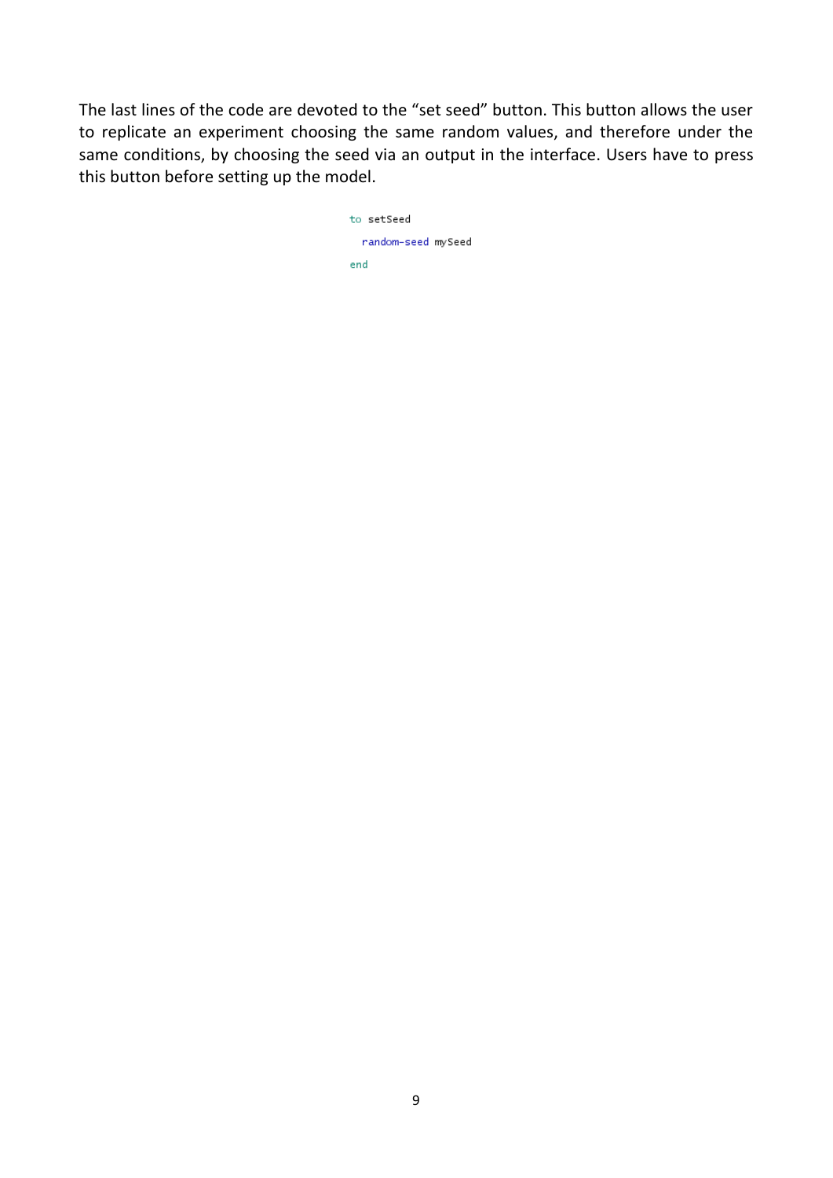The last lines of the code are devoted to the "set seed" button. This button allows the user to replicate an experiment choosing the same random values, and therefore under the same conditions, by choosing the seed via an output in the interface. Users have to press this button before setting up the model.

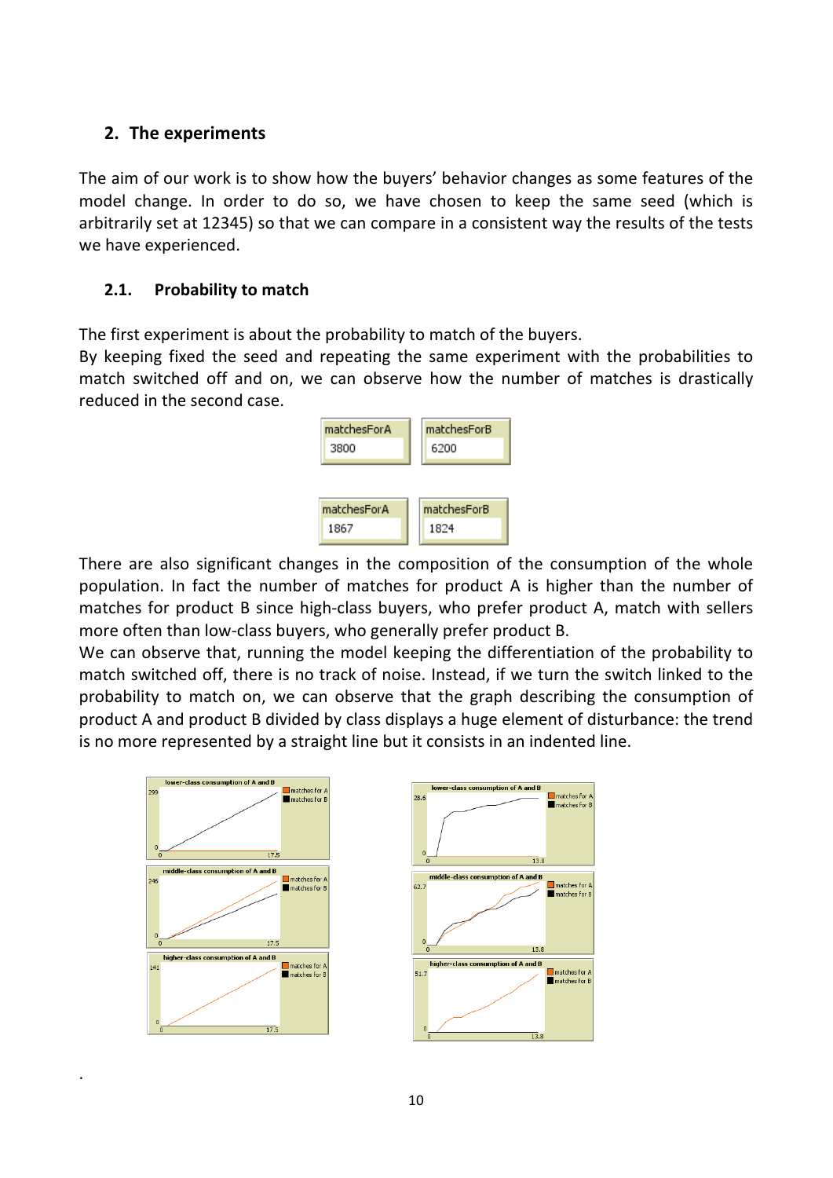#### **2. The experiments**

The aim of our work is to show how the buyers' behavior changes as some features of the model change. In order to do so, we have chosen to keep the same seed (which is arbitrarily set at 12345) so that we can compare in a consistent way the results of the tests we have experienced.

#### **2.1.** Probability to match

The first experiment is about the probability to match of the buyers.

By keeping fixed the seed and repeating the same experiment with the probabilities to match switched off and on, we can observe how the number of matches is drastically reduced in the second case.



There are also significant changes in the composition of the consumption of the whole population. In fact the number of matches for product A is higher than the number of matches for product B since high-class buyers, who prefer product A, match with sellers more often than low-class buyers, who generally prefer product B.

We can observe that, running the model keeping the differentiation of the probability to match switched off, there is no track of noise. Instead, if we turn the switch linked to the probability to match on, we can observe that the graph describing the consumption of product A and product B divided by class displays a huge element of disturbance: the trend is no more represented by a straight line but it consists in an indented line.



.

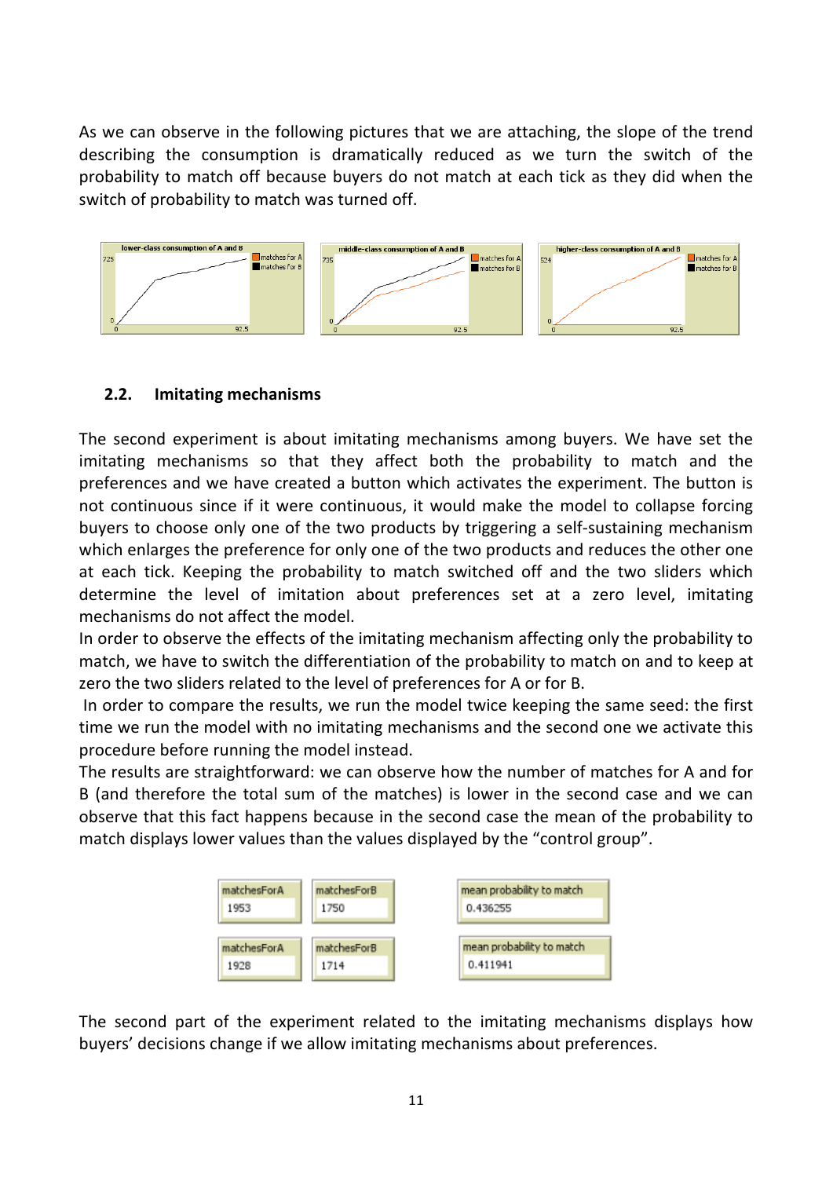As we can observe in the following pictures that we are attaching, the slope of the trend describing the consumption is dramatically reduced as we turn the switch of the probability to match off because buyers do not match at each tick as they did when the switch of probability to match was turned off.



#### **2.2. Imitating mechanisms**

The second experiment is about imitating mechanisms among buyers. We have set the imitating mechanisms so that they affect both the probability to match and the preferences and we have created a button which activates the experiment. The button is not continuous since if it were continuous, it would make the model to collapse forcing buyers to choose only one of the two products by triggering a self-sustaining mechanism which enlarges the preference for only one of the two products and reduces the other one at each tick. Keeping the probability to match switched off and the two sliders which determine the level of imitation about preferences set at a zero level, imitating mechanisms do not affect the model.

In order to observe the effects of the imitating mechanism affecting only the probability to match, we have to switch the differentiation of the probability to match on and to keep at zero the two sliders related to the level of preferences for A or for B.

In order to compare the results, we run the model twice keeping the same seed: the first time we run the model with no imitating mechanisms and the second one we activate this procedure before running the model instead.

The results are straightforward: we can observe how the number of matches for A and for B (and therefore the total sum of the matches) is lower in the second case and we can observe that this fact happens because in the second case the mean of the probability to match displays lower values than the values displayed by the "control group".



The second part of the experiment related to the imitating mechanisms displays how buyers' decisions change if we allow imitating mechanisms about preferences.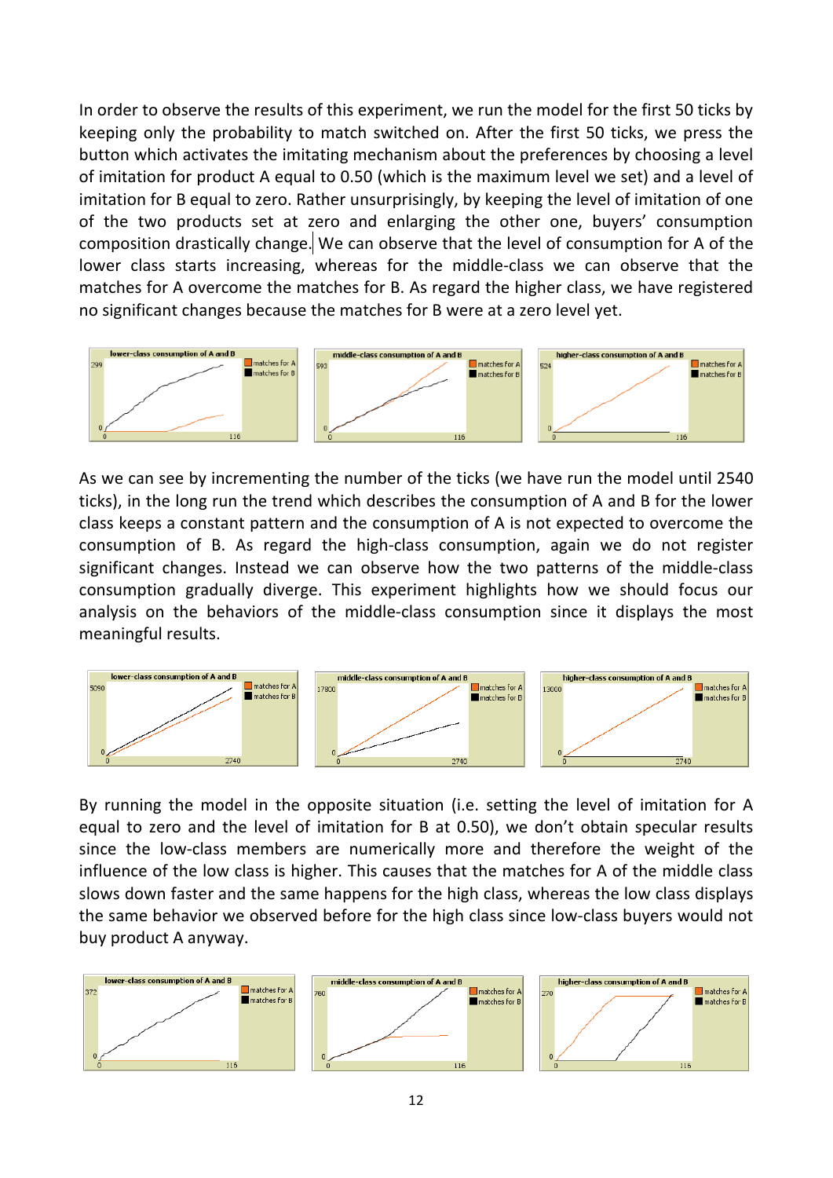In order to observe the results of this experiment, we run the model for the first 50 ticks by keeping only the probability to match switched on. After the first 50 ticks, we press the button which activates the imitating mechanism about the preferences by choosing a level of imitation for product A equal to 0.50 (which is the maximum level we set) and a level of imitation for B equal to zero. Rather unsurprisingly, by keeping the level of imitation of one of the two products set at zero and enlarging the other one, buyers' consumption composition drastically change. We can observe that the level of consumption for A of the lower class starts increasing, whereas for the middle-class we can observe that the matches for A overcome the matches for B. As regard the higher class, we have registered no significant changes because the matches for B were at a zero level yet.



As we can see by incrementing the number of the ticks (we have run the model until 2540 ticks), in the long run the trend which describes the consumption of A and B for the lower class keeps a constant pattern and the consumption of A is not expected to overcome the consumption of B. As regard the high-class consumption, again we do not register significant changes. Instead we can observe how the two patterns of the middle-class consumption gradually diverge. This experiment highlights how we should focus our analysis on the behaviors of the middle-class consumption since it displays the most meaningful results.



By running the model in the opposite situation (i.e. setting the level of imitation for A equal to zero and the level of imitation for B at 0.50), we don't obtain specular results since the low-class members are numerically more and therefore the weight of the influence of the low class is higher. This causes that the matches for A of the middle class slows down faster and the same happens for the high class, whereas the low class displays the same behavior we observed before for the high class since low-class buyers would not buy product A anyway.

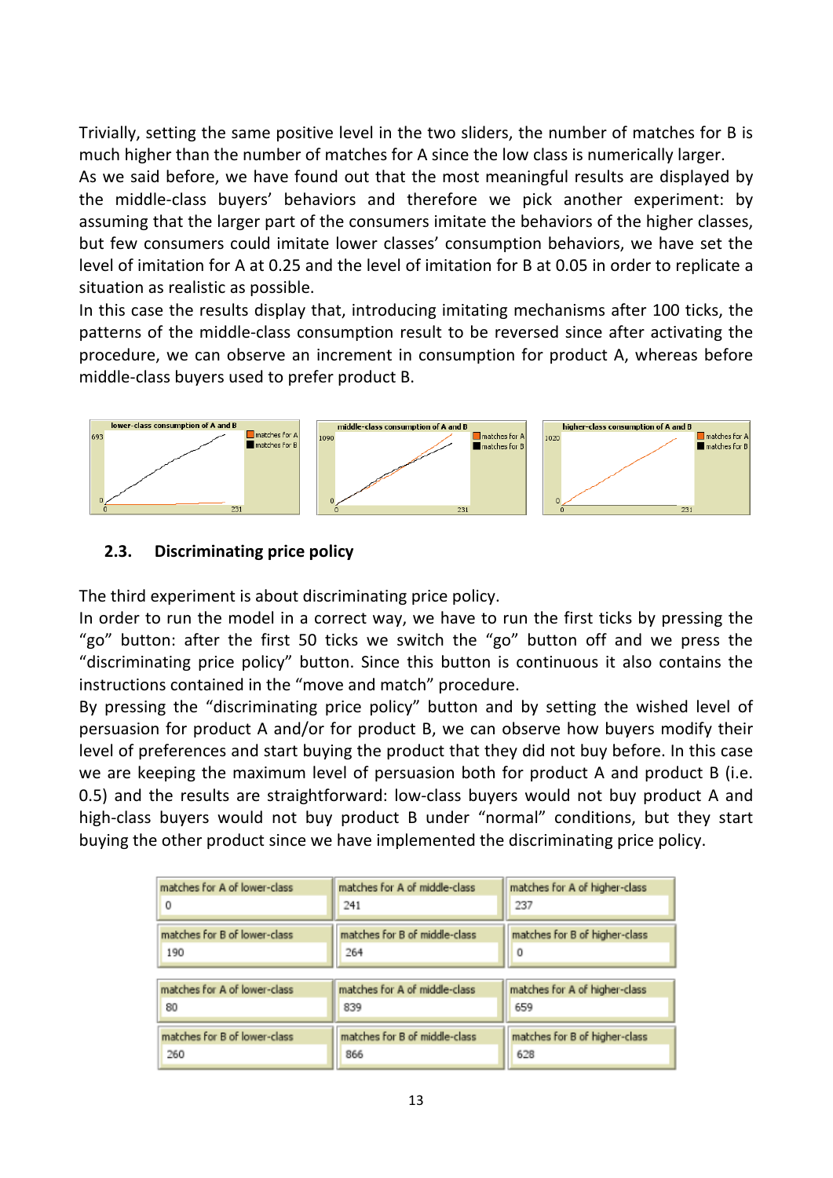Trivially, setting the same positive level in the two sliders, the number of matches for B is much higher than the number of matches for A since the low class is numerically larger.

As we said before, we have found out that the most meaningful results are displayed by the middle-class buyers' behaviors and therefore we pick another experiment: by assuming that the larger part of the consumers imitate the behaviors of the higher classes, but few consumers could imitate lower classes' consumption behaviors, we have set the level of imitation for A at 0.25 and the level of imitation for B at 0.05 in order to replicate a situation as realistic as possible.

In this case the results display that, introducing imitating mechanisms after 100 ticks, the patterns of the middle-class consumption result to be reversed since after activating the procedure, we can observe an increment in consumption for product A, whereas before middle-class buyers used to prefer product B.



#### **2.3.** Discriminating price policy

The third experiment is about discriminating price policy.

In order to run the model in a correct way, we have to run the first ticks by pressing the "go" button: after the first 50 ticks we switch the "go" button off and we press the "discriminating price policy" button. Since this button is continuous it also contains the instructions contained in the "move and match" procedure.

By pressing the "discriminating price policy" button and by setting the wished level of persuasion for product A and/or for product B, we can observe how buyers modify their level of preferences and start buying the product that they did not buy before. In this case we are keeping the maximum level of persuasion both for product A and product B (i.e. 0.5) and the results are straightforward: low-class buyers would not buy product A and high-class buyers would not buy product B under "normal" conditions, but they start buying the other product since we have implemented the discriminating price policy.

| matches for A of lower-class | matches for A of middle-class | matches for A of higher-class |
|------------------------------|-------------------------------|-------------------------------|
| 0                            | 241                           | 237                           |
| matches for B of lower-class | matches for B of middle-class | matches for B of higher-class |
| 190                          | 264                           | 0                             |
| matches for A of lower-class | matches for A of middle-class | matches for A of higher-class |
| 80                           | 839                           | 659                           |
| matches for B of lower-class | matches for B of middle-class | matches for B of higher-class |
| 260                          | 866                           | 628                           |